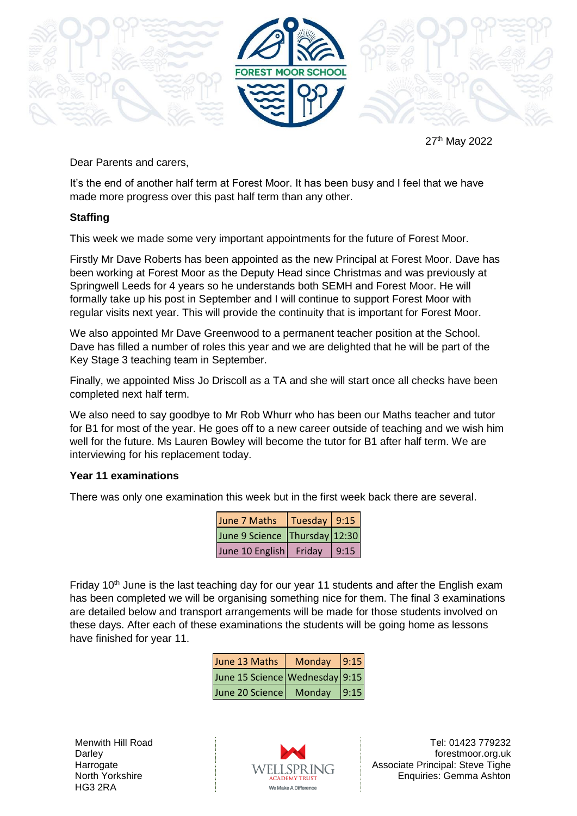

27 th May 2022

Dear Parents and carers,

It's the end of another half term at Forest Moor. It has been busy and I feel that we have made more progress over this past half term than any other.

## **Staffing**

This week we made some very important appointments for the future of Forest Moor.

Firstly Mr Dave Roberts has been appointed as the new Principal at Forest Moor. Dave has been working at Forest Moor as the Deputy Head since Christmas and was previously at Springwell Leeds for 4 years so he understands both SEMH and Forest Moor. He will formally take up his post in September and I will continue to support Forest Moor with regular visits next year. This will provide the continuity that is important for Forest Moor.

We also appointed Mr Dave Greenwood to a permanent teacher position at the School. Dave has filled a number of roles this year and we are delighted that he will be part of the Key Stage 3 teaching team in September.

Finally, we appointed Miss Jo Driscoll as a TA and she will start once all checks have been completed next half term.

We also need to say goodbye to Mr Rob Whurr who has been our Maths teacher and tutor for B1 for most of the year. He goes off to a new career outside of teaching and we wish him well for the future. Ms Lauren Bowley will become the tutor for B1 after half term. We are interviewing for his replacement today.

## **Year 11 examinations**

There was only one examination this week but in the first week back there are several.

| June 7 Maths   Tuesday 9:15   |      |
|-------------------------------|------|
| June 9 Science Thursday 12:30 |      |
| June 10 English Friday        | 9:15 |

Friday 10<sup>th</sup> June is the last teaching day for our year 11 students and after the English exam has been completed we will be organising something nice for them. The final 3 examinations are detailed below and transport arrangements will be made for those students involved on these days. After each of these examinations the students will be going home as lessons have finished for year 11.

| June 13 Maths                  | Monday | 9:15 |
|--------------------------------|--------|------|
| June 15 Science Wednesday 9:15 |        |      |
| June 20 Science                | Monday | 9:15 |

Menwith Hill Road **Darley Harrogate** North Yorkshire HG3 2RA



Tel: 01423 779232 forestmoor.org.uk Associate Principal: Steve Tighe Enquiries: Gemma Ashton